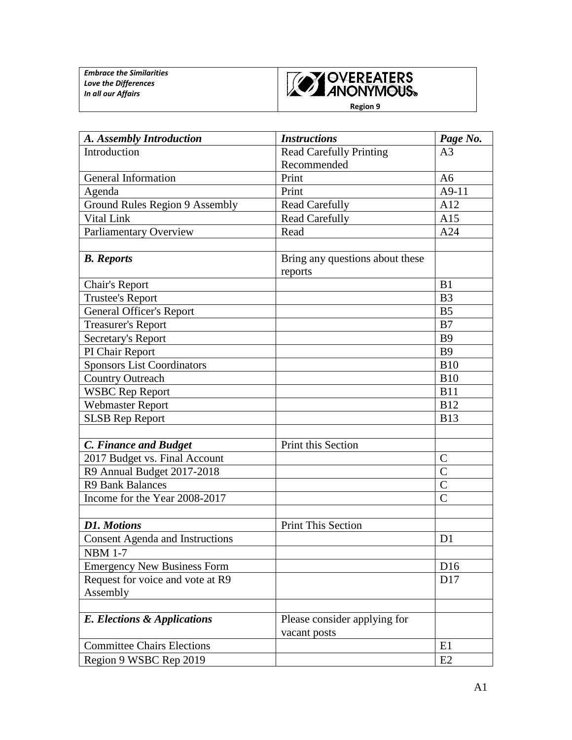

**Region 9**

| A. Assembly Introduction               | <b>Instructions</b>             | Page No.        |
|----------------------------------------|---------------------------------|-----------------|
| Introduction                           | <b>Read Carefully Printing</b>  | A <sub>3</sub>  |
|                                        | Recommended                     |                 |
| General Information                    | Print                           | A <sub>6</sub>  |
| Agenda                                 | Print                           | $A9-11$         |
| <b>Ground Rules Region 9 Assembly</b>  | <b>Read Carefully</b>           | A12             |
| Vital Link                             | <b>Read Carefully</b>           | A15             |
| Parliamentary Overview                 | Read                            | A24             |
|                                        |                                 |                 |
| <b>B.</b> Reports                      | Bring any questions about these |                 |
|                                        | reports                         |                 |
| Chair's Report                         |                                 | B1              |
| <b>Trustee's Report</b>                |                                 | B <sub>3</sub>  |
| <b>General Officer's Report</b>        |                                 | B <sub>5</sub>  |
| <b>Treasurer's Report</b>              |                                 | B7              |
| Secretary's Report                     |                                 | B <sub>9</sub>  |
| PI Chair Report                        |                                 | <b>B</b> 9      |
| <b>Sponsors List Coordinators</b>      |                                 | <b>B10</b>      |
| <b>Country Outreach</b>                |                                 | <b>B10</b>      |
| <b>WSBC Rep Report</b>                 |                                 | <b>B11</b>      |
| <b>Webmaster Report</b>                |                                 | <b>B12</b>      |
| <b>SLSB Rep Report</b>                 |                                 | <b>B13</b>      |
|                                        |                                 |                 |
| C. Finance and Budget                  | Print this Section              |                 |
| 2017 Budget vs. Final Account          |                                 | $\mathsf{C}$    |
| R9 Annual Budget 2017-2018             |                                 | $\mathcal{C}$   |
| <b>R9 Bank Balances</b>                |                                 | $\mathcal{C}$   |
| Income for the Year 2008-2017          |                                 | $\overline{C}$  |
|                                        |                                 |                 |
| <b>D1. Motions</b>                     | <b>Print This Section</b>       |                 |
| <b>Consent Agenda and Instructions</b> |                                 | D <sub>1</sub>  |
| <b>NBM 1-7</b>                         |                                 |                 |
| <b>Emergency New Business Form</b>     |                                 | D <sub>16</sub> |
| Request for voice and vote at R9       |                                 | D17             |
| Assembly                               |                                 |                 |
|                                        |                                 |                 |
| E. Elections & Applications            | Please consider applying for    |                 |
|                                        | vacant posts                    |                 |
| <b>Committee Chairs Elections</b>      |                                 | E1              |
| Region 9 WSBC Rep 2019                 |                                 | E2              |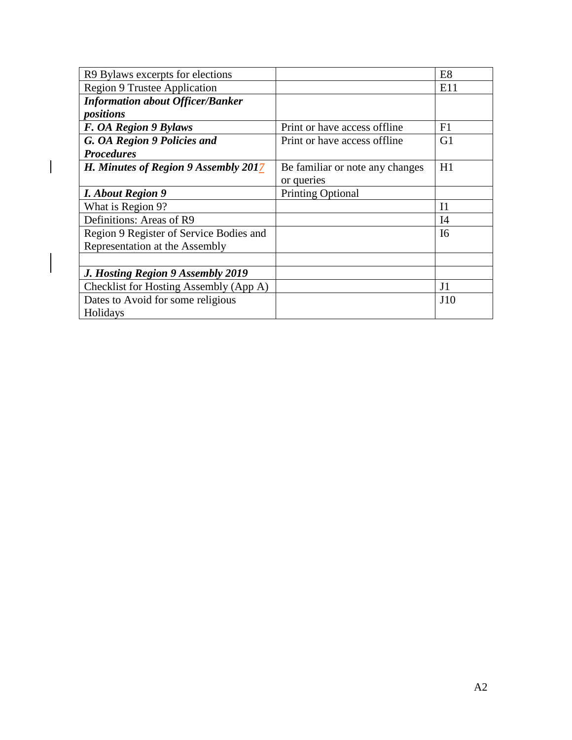| R9 Bylaws excerpts for elections        |                                 | E <sub>8</sub> |
|-----------------------------------------|---------------------------------|----------------|
| <b>Region 9 Trustee Application</b>     |                                 | E11            |
| <b>Information about Officer/Banker</b> |                                 |                |
| positions                               |                                 |                |
| F. OA Region 9 Bylaws                   | Print or have access offline    | F1             |
| G. OA Region 9 Policies and             | Print or have access offline    | G1             |
| <b>Procedures</b>                       |                                 |                |
| H. Minutes of Region 9 Assembly 2017    | Be familiar or note any changes | H1             |
|                                         | or queries                      |                |
| <b>I.</b> About Region 9                | <b>Printing Optional</b>        |                |
| What is Region 9?                       |                                 | I <sub>1</sub> |
| Definitions: Areas of R9                |                                 | I4             |
| Region 9 Register of Service Bodies and |                                 | I <sub>6</sub> |
| Representation at the Assembly          |                                 |                |
|                                         |                                 |                |
| J. Hosting Region 9 Assembly 2019       |                                 |                |
| Checklist for Hosting Assembly (App A)  |                                 | J <sub>1</sub> |
| Dates to Avoid for some religious       |                                 | J10            |
| Holidays                                |                                 |                |

 $\overline{\phantom{a}}$ 

 $\overline{\phantom{a}}$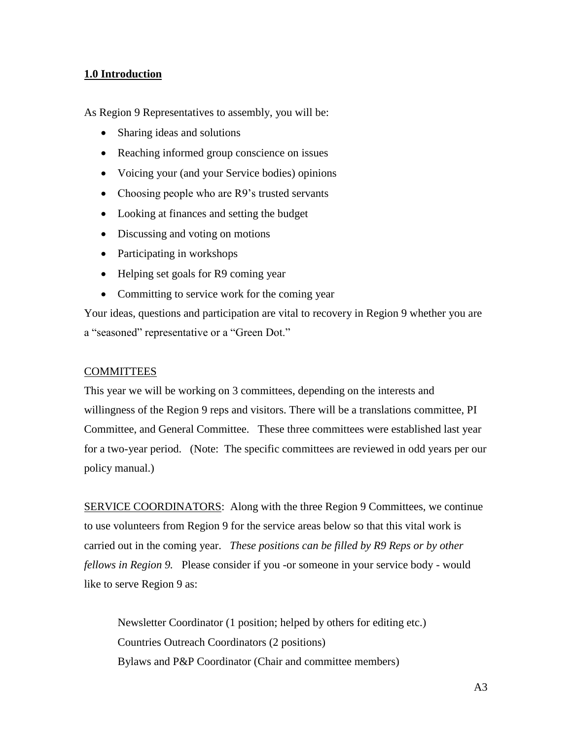#### **1.0 Introduction**

As Region 9 Representatives to assembly, you will be:

- Sharing ideas and solutions
- Reaching informed group conscience on issues
- Voicing your (and your Service bodies) opinions
- Choosing people who are R9's trusted servants
- Looking at finances and setting the budget
- Discussing and voting on motions
- Participating in workshops
- Helping set goals for R9 coming year
- Committing to service work for the coming year

Your ideas, questions and participation are vital to recovery in Region 9 whether you are a "seasoned" representative or a "Green Dot."

#### **COMMITTEES**

This year we will be working on 3 committees, depending on the interests and willingness of the Region 9 reps and visitors. There will be a translations committee, PI Committee, and General Committee. These three committees were established last year for a two-year period. (Note: The specific committees are reviewed in odd years per our policy manual.)

SERVICE COORDINATORS: Along with the three Region 9 Committees, we continue to use volunteers from Region 9 for the service areas below so that this vital work is carried out in the coming year. *These positions can be filled by R9 Reps or by other fellows in Region 9.* Please consider if you -or someone in your service body - would like to serve Region 9 as:

Newsletter Coordinator (1 position; helped by others for editing etc.) Countries Outreach Coordinators (2 positions) Bylaws and P&P Coordinator (Chair and committee members)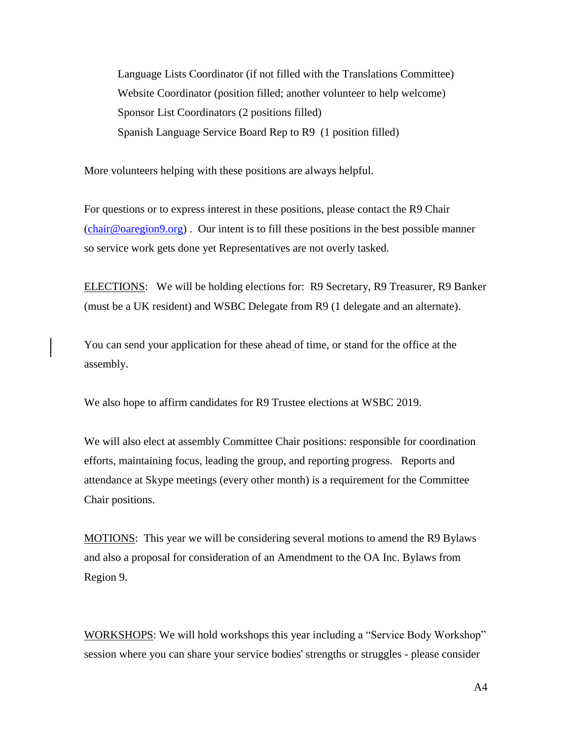Language Lists Coordinator (if not filled with the Translations Committee) Website Coordinator (position filled; another volunteer to help welcome) Sponsor List Coordinators (2 positions filled) Spanish Language Service Board Rep to R9 (1 position filled)

More volunteers helping with these positions are always helpful.

For questions or to express interest in these positions, please contact the R9 Chair [\(chair@oaregion9.org\)](mailto:chair@oaregion9.org) . Our intent is to fill these positions in the best possible manner so service work gets done yet Representatives are not overly tasked.

ELECTIONS: We will be holding elections for: R9 Secretary, R9 Treasurer, R9 Banker (must be a UK resident) and WSBC Delegate from R9 (1 delegate and an alternate).

You can send your application for these ahead of time, or stand for the office at the assembly.

We also hope to affirm candidates for R9 Trustee elections at WSBC 2019.

We will also elect at assembly Committee Chair positions: responsible for coordination efforts, maintaining focus, leading the group, and reporting progress. Reports and attendance at Skype meetings (every other month) is a requirement for the Committee Chair positions.

MOTIONS: This year we will be considering several motions to amend the R9 Bylaws and also a proposal for consideration of an Amendment to the OA Inc. Bylaws from Region 9.

WORKSHOPS: We will hold workshops this year including a "Service Body Workshop" session where you can share your service bodies' strengths or struggles - please consider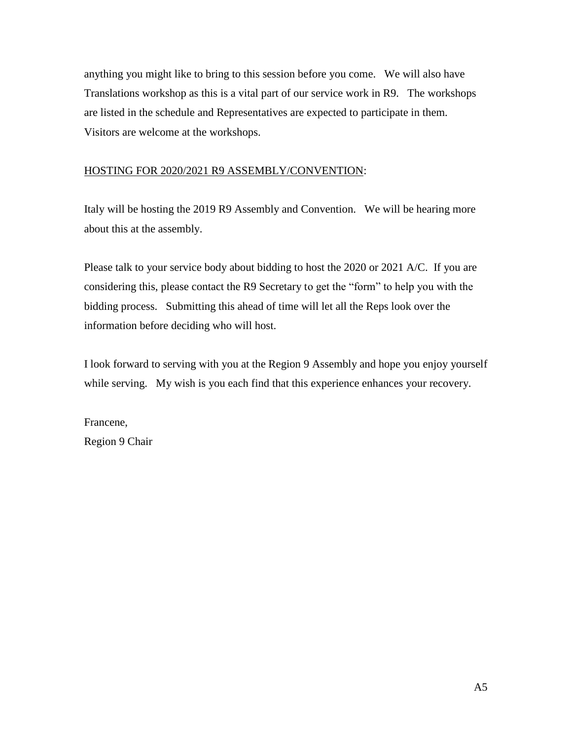anything you might like to bring to this session before you come. We will also have Translations workshop as this is a vital part of our service work in R9. The workshops are listed in the schedule and Representatives are expected to participate in them. Visitors are welcome at the workshops.

#### HOSTING FOR 2020/2021 R9 ASSEMBLY/CONVENTION:

Italy will be hosting the 2019 R9 Assembly and Convention. We will be hearing more about this at the assembly.

Please talk to your service body about bidding to host the 2020 or 2021 A/C. If you are considering this, please contact the R9 Secretary to get the "form" to help you with the bidding process. Submitting this ahead of time will let all the Reps look over the information before deciding who will host.

I look forward to serving with you at the Region 9 Assembly and hope you enjoy yourself while serving. My wish is you each find that this experience enhances your recovery.

Francene, Region 9 Chair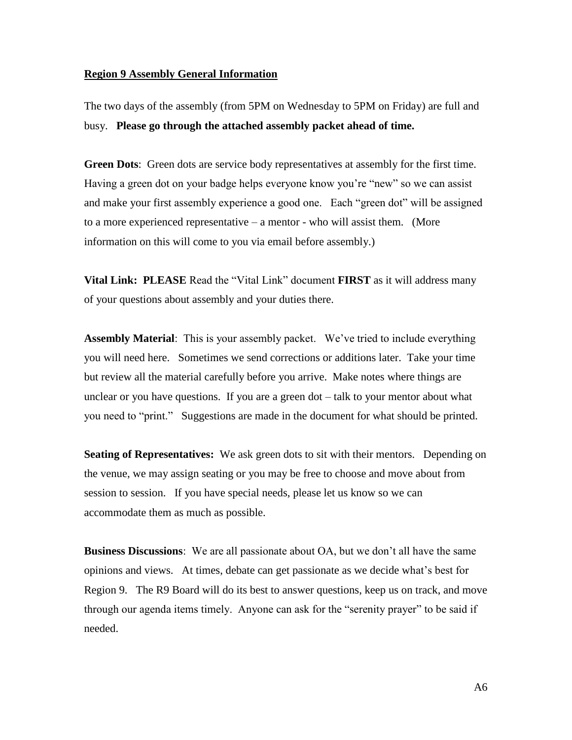#### **Region 9 Assembly General Information**

The two days of the assembly (from 5PM on Wednesday to 5PM on Friday) are full and busy. **Please go through the attached assembly packet ahead of time.**

**Green Dots**: Green dots are service body representatives at assembly for the first time. Having a green dot on your badge helps everyone know you're "new" so we can assist and make your first assembly experience a good one. Each "green dot" will be assigned to a more experienced representative – a mentor - who will assist them. (More information on this will come to you via email before assembly.)

**Vital Link: PLEASE** Read the "Vital Link" document **FIRST** as it will address many of your questions about assembly and your duties there.

**Assembly Material**: This is your assembly packet. We've tried to include everything you will need here. Sometimes we send corrections or additions later. Take your time but review all the material carefully before you arrive. Make notes where things are unclear or you have questions. If you are a green dot – talk to your mentor about what you need to "print." Suggestions are made in the document for what should be printed.

**Seating of Representatives:** We ask green dots to sit with their mentors. Depending on the venue, we may assign seating or you may be free to choose and move about from session to session. If you have special needs, please let us know so we can accommodate them as much as possible.

**Business Discussions**: We are all passionate about OA, but we don't all have the same opinions and views. At times, debate can get passionate as we decide what's best for Region 9. The R9 Board will do its best to answer questions, keep us on track, and move through our agenda items timely. Anyone can ask for the "serenity prayer" to be said if needed.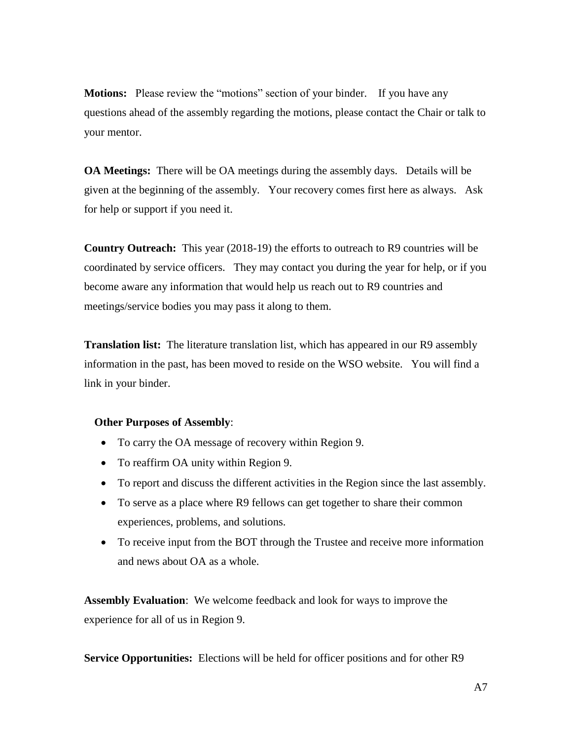**Motions:** Please review the "motions" section of your binder. If you have any questions ahead of the assembly regarding the motions, please contact the Chair or talk to your mentor.

**OA Meetings:** There will be OA meetings during the assembly days. Details will be given at the beginning of the assembly.Your recovery comes first here as always. Ask for help or support if you need it.

**Country Outreach:** This year (2018-19) the efforts to outreach to R9 countries will be coordinated by service officers. They may contact you during the year for help, or if you become aware any information that would help us reach out to R9 countries and meetings/service bodies you may pass it along to them.

**Translation list:** The literature translation list, which has appeared in our R9 assembly information in the past, has been moved to reside on the WSO website. You will find a link in your binder.

#### **Other Purposes of Assembly**:

- To carry the OA message of recovery within Region 9.
- To reaffirm OA unity within Region 9.
- To report and discuss the different activities in the Region since the last assembly.
- To serve as a place where R9 fellows can get together to share their common experiences, problems, and solutions.
- To receive input from the BOT through the Trustee and receive more information and news about OA as a whole.

**Assembly Evaluation**: We welcome feedback and look for ways to improve the experience for all of us in Region 9.

**Service Opportunities:** Elections will be held for officer positions and for other R9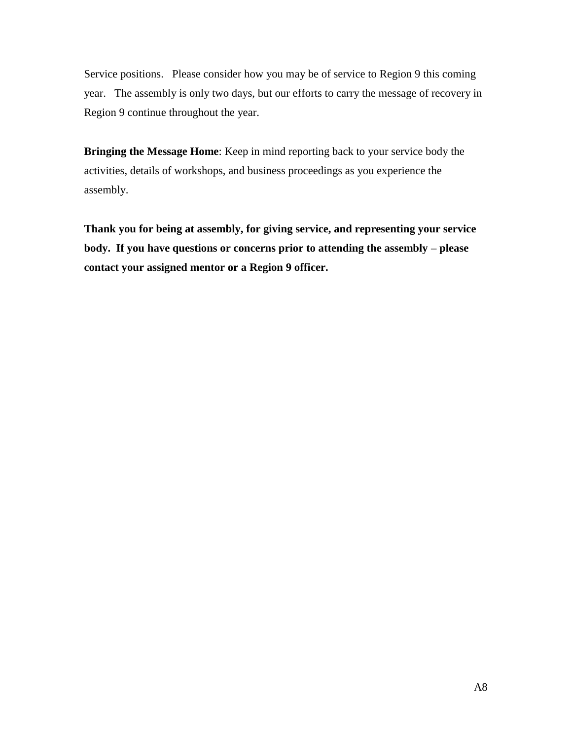Service positions. Please consider how you may be of service to Region 9 this coming year. The assembly is only two days, but our efforts to carry the message of recovery in Region 9 continue throughout the year.

**Bringing the Message Home**: Keep in mind reporting back to your service body the activities, details of workshops, and business proceedings as you experience the assembly.

**Thank you for being at assembly, for giving service, and representing your service body. If you have questions or concerns prior to attending the assembly – please contact your assigned mentor or a Region 9 officer.**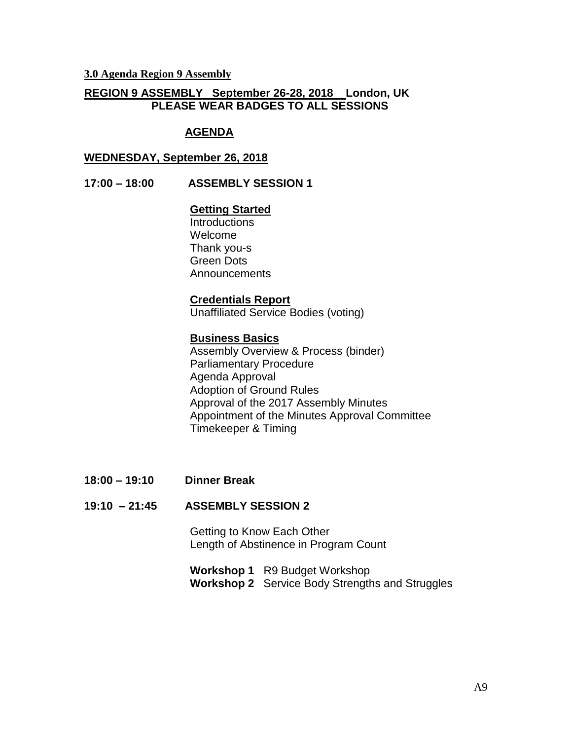**3.0 Agenda Region 9 Assembly**

#### **REGION 9 ASSEMBLY September 26-28, 2018 London, UK PLEASE WEAR BADGES TO ALL SESSIONS**

#### **AGENDA**

#### **WEDNESDAY, September 26, 2018**

#### **17:00 – 18:00 ASSEMBLY SESSION 1**

#### **Getting Started**

**Introductions** Welcome Thank you-s Green Dots **Announcements** 

#### **Credentials Report**

Unaffiliated Service Bodies (voting)

#### **Business Basics**

Assembly Overview & Process (binder) Parliamentary Procedure Agenda Approval Adoption of Ground Rules Approval of the 2017 Assembly Minutes Appointment of the Minutes Approval Committee Timekeeper & Timing

**18:00 – 19:10 Dinner Break** 

#### **19:10 – 21:45 ASSEMBLY SESSION 2**

Getting to Know Each Other Length of Abstinence in Program Count

**Workshop 1** R9 Budget Workshop **Workshop 2** Service Body Strengths and Struggles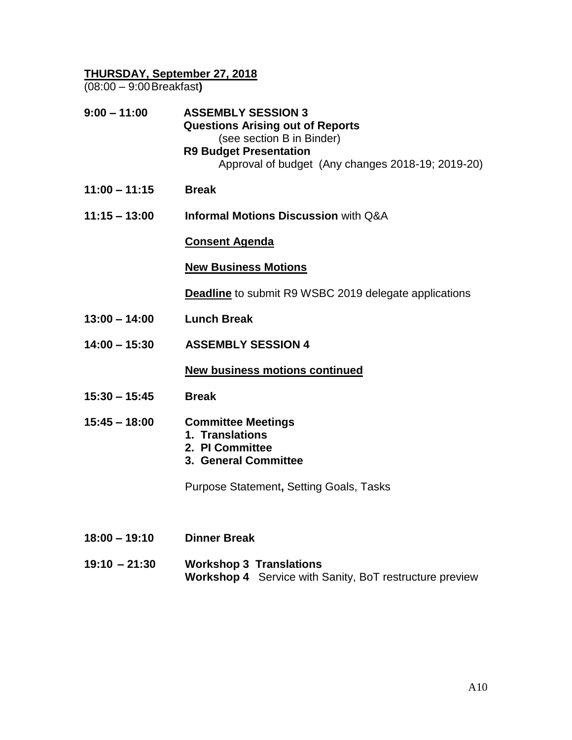## **THURSDAY, September 27, 2018**

(08:00 – 9:00Breakfast**)**

| $9:00 - 11:00$  | <b>ASSEMBLY SESSION 3</b><br><b>Questions Arising out of Reports</b><br>(see section B in Binder)<br><b>R9 Budget Presentation</b><br>Approval of budget (Any changes 2018-19; 2019-20) |
|-----------------|-----------------------------------------------------------------------------------------------------------------------------------------------------------------------------------------|
| $11:00 - 11:15$ | <b>Break</b>                                                                                                                                                                            |
| $11:15 - 13:00$ | <b>Informal Motions Discussion with Q&amp;A</b>                                                                                                                                         |
|                 | <u>Consent Agenda</u>                                                                                                                                                                   |
|                 | <b>New Business Motions</b>                                                                                                                                                             |
|                 | <b>Deadline</b> to submit R9 WSBC 2019 delegate applications                                                                                                                            |
| $13:00 - 14:00$ | <b>Lunch Break</b>                                                                                                                                                                      |
| $14:00 - 15:30$ | <b>ASSEMBLY SESSION 4</b>                                                                                                                                                               |
|                 | <b>New business motions continued</b>                                                                                                                                                   |
| $15:30 - 15:45$ | <b>Break</b>                                                                                                                                                                            |
| $15:45 - 18:00$ | <b>Committee Meetings</b><br>1. Translations<br>2. PI Committee<br>3. General Committee                                                                                                 |
|                 | Purpose Statement, Setting Goals, Tasks                                                                                                                                                 |
|                 |                                                                                                                                                                                         |
| $18:00 - 19:10$ | <b>Dinner Break</b>                                                                                                                                                                     |
| $19:10 - 21:30$ | <b>Workshop 3 Translations</b><br>Workshop 4 Service with Sanity, BoT restructure preview                                                                                               |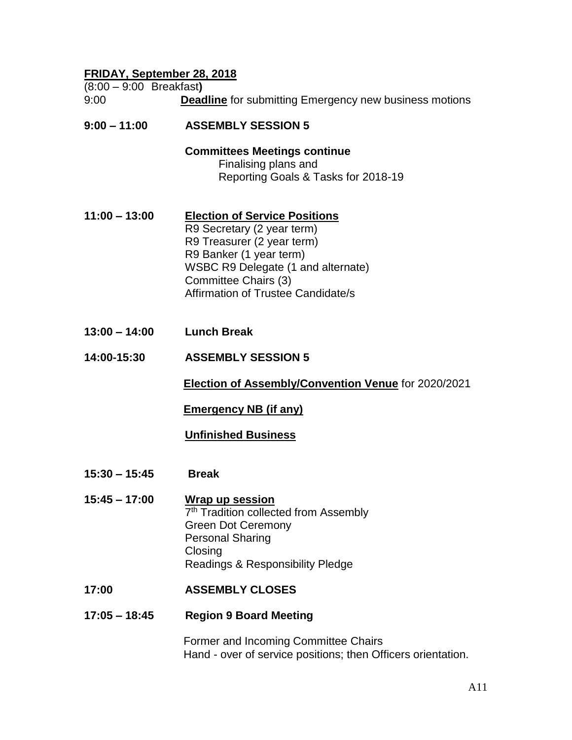# **FRIDAY, September 28, 2018**

| . , .<br>$(8:00 - 9:00$ Breakfast) |                                                                                                                                                                                                                                 |
|------------------------------------|---------------------------------------------------------------------------------------------------------------------------------------------------------------------------------------------------------------------------------|
| 9:00                               | <b>Deadline</b> for submitting Emergency new business motions                                                                                                                                                                   |
| $9:00 - 11:00$                     | <b>ASSEMBLY SESSION 5</b>                                                                                                                                                                                                       |
|                                    | <b>Committees Meetings continue</b><br>Finalising plans and<br>Reporting Goals & Tasks for 2018-19                                                                                                                              |
| $11:00 - 13:00$                    | <b>Election of Service Positions</b><br>R9 Secretary (2 year term)<br>R9 Treasurer (2 year term)<br>R9 Banker (1 year term)<br>WSBC R9 Delegate (1 and alternate)<br>Committee Chairs (3)<br>Affirmation of Trustee Candidate/s |
| $13:00 - 14:00$                    | <b>Lunch Break</b>                                                                                                                                                                                                              |
| 14:00-15:30                        | <b>ASSEMBLY SESSION 5</b>                                                                                                                                                                                                       |
|                                    | Election of Assembly/Convention Venue for 2020/2021                                                                                                                                                                             |
|                                    | <b>Emergency NB (if any)</b>                                                                                                                                                                                                    |
|                                    | <b>Unfinished Business</b>                                                                                                                                                                                                      |
| $15:30 - 15:45$                    | <b>Break</b>                                                                                                                                                                                                                    |
| $15:45 - 17:00$                    | Wrap up session<br>7 <sup>th</sup> Tradition collected from Assembly<br><b>Green Dot Ceremony</b><br><b>Personal Sharing</b><br>Closing<br>Readings & Responsibility Pledge                                                     |
| 17:00                              | <b>ASSEMBLY CLOSES</b>                                                                                                                                                                                                          |
| $17:05 - 18:45$                    | <b>Region 9 Board Meeting</b>                                                                                                                                                                                                   |

Former and Incoming Committee Chairs Hand - over of service positions; then Officers orientation.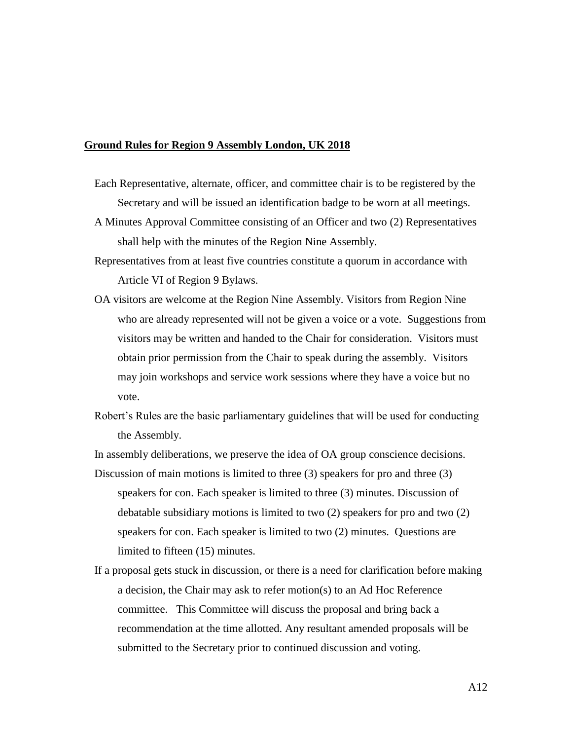#### **Ground Rules for Region 9 Assembly London, UK 2018**

- Each Representative, alternate, officer, and committee chair is to be registered by the Secretary and will be issued an identification badge to be worn at all meetings.
- A Minutes Approval Committee consisting of an Officer and two (2) Representatives shall help with the minutes of the Region Nine Assembly.
- Representatives from at least five countries constitute a quorum in accordance with Article VI of Region 9 Bylaws.
- OA visitors are welcome at the Region Nine Assembly. Visitors from Region Nine who are already represented will not be given a voice or a vote. Suggestions from visitors may be written and handed to the Chair for consideration. Visitors must obtain prior permission from the Chair to speak during the assembly. Visitors may join workshops and service work sessions where they have a voice but no vote.
- Robert's Rules are the basic parliamentary guidelines that will be used for conducting the Assembly.

In assembly deliberations, we preserve the idea of OA group conscience decisions.

- Discussion of main motions is limited to three (3) speakers for pro and three (3) speakers for con. Each speaker is limited to three (3) minutes. Discussion of debatable subsidiary motions is limited to two (2) speakers for pro and two (2) speakers for con. Each speaker is limited to two (2) minutes. Questions are limited to fifteen (15) minutes.
- If a proposal gets stuck in discussion, or there is a need for clarification before making a decision, the Chair may ask to refer motion(s) to an Ad Hoc Reference committee. This Committee will discuss the proposal and bring back a recommendation at the time allotted. Any resultant amended proposals will be submitted to the Secretary prior to continued discussion and voting.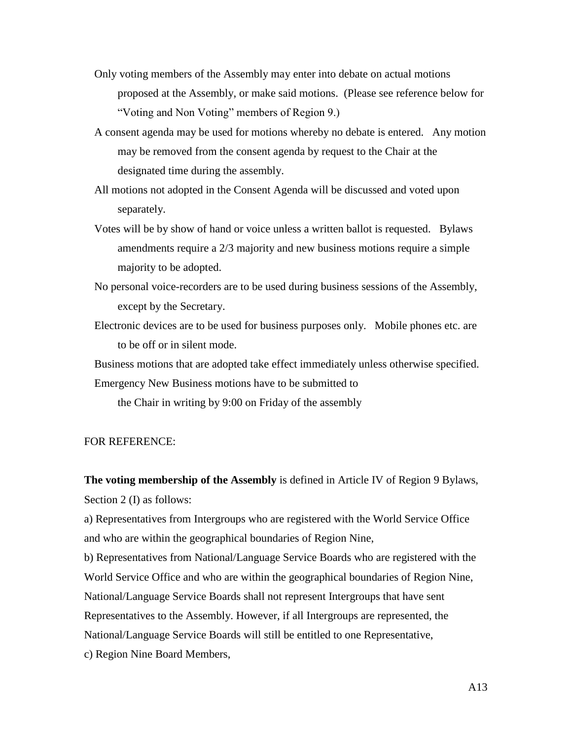- Only voting members of the Assembly may enter into debate on actual motions proposed at the Assembly, or make said motions. (Please see reference below for "Voting and Non Voting" members of Region 9.)
- A consent agenda may be used for motions whereby no debate is entered. Any motion may be removed from the consent agenda by request to the Chair at the designated time during the assembly.
- All motions not adopted in the Consent Agenda will be discussed and voted upon separately.
- Votes will be by show of hand or voice unless a written ballot is requested. Bylaws amendments require a 2/3 majority and new business motions require a simple majority to be adopted.
- No personal voice-recorders are to be used during business sessions of the Assembly, except by the Secretary.
- Electronic devices are to be used for business purposes only. Mobile phones etc. are to be off or in silent mode.

Business motions that are adopted take effect immediately unless otherwise specified.

Emergency New Business motions have to be submitted to

the Chair in writing by 9:00 on Friday of the assembly

#### FOR REFERENCE:

**The voting membership of the Assembly** is defined in Article IV of Region 9 Bylaws, Section 2 (I) as follows:

a) Representatives from Intergroups who are registered with the World Service Office and who are within the geographical boundaries of Region Nine,

b) Representatives from National/Language Service Boards who are registered with the World Service Office and who are within the geographical boundaries of Region Nine, National/Language Service Boards shall not represent Intergroups that have sent Representatives to the Assembly. However, if all Intergroups are represented, the National/Language Service Boards will still be entitled to one Representative,

c) Region Nine Board Members,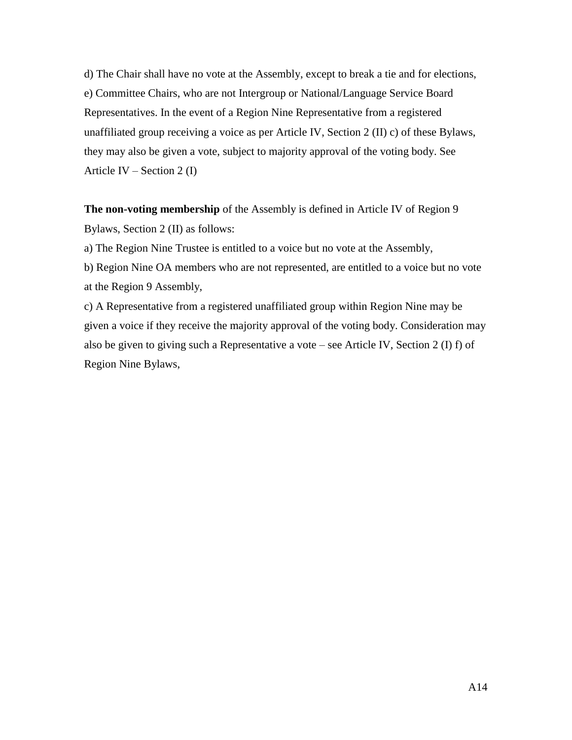d) The Chair shall have no vote at the Assembly, except to break a tie and for elections, e) Committee Chairs, who are not Intergroup or National/Language Service Board Representatives. In the event of a Region Nine Representative from a registered unaffiliated group receiving a voice as per Article IV, Section 2 (II) c) of these Bylaws, they may also be given a vote, subject to majority approval of the voting body. See Article IV – Section 2  $(I)$ 

**The non-voting membership** of the Assembly is defined in Article IV of Region 9 Bylaws, Section 2 (II) as follows:

a) The Region Nine Trustee is entitled to a voice but no vote at the Assembly,

b) Region Nine OA members who are not represented, are entitled to a voice but no vote at the Region 9 Assembly,

c) A Representative from a registered unaffiliated group within Region Nine may be given a voice if they receive the majority approval of the voting body. Consideration may also be given to giving such a Representative a vote – see Article IV, Section 2 (I) f) of Region Nine Bylaws,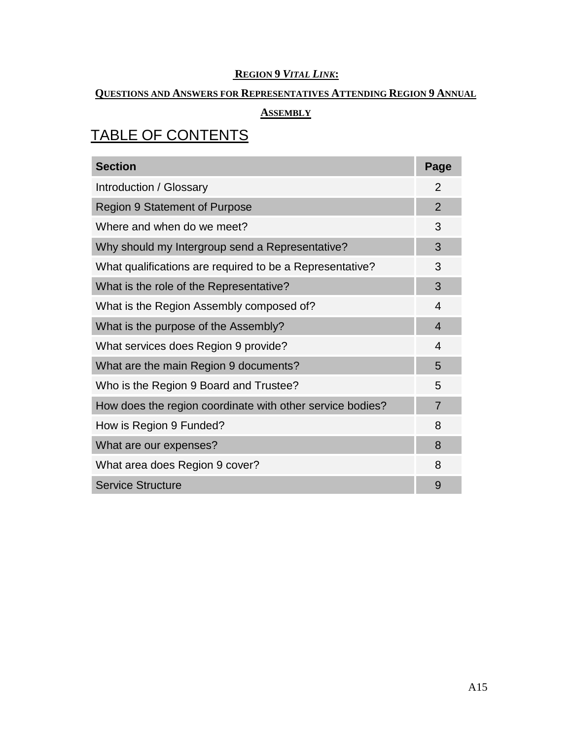# **REGION 9** *VITAL LINK***:**

## **QUESTIONS AND ANSWERS FOR REPRESENTATIVES ATTENDING REGION 9 ANNUAL**

# **ASSEMBLY**

# TABLE OF CONTENTS

| <b>Section</b>                                            | Page |
|-----------------------------------------------------------|------|
| Introduction / Glossary                                   |      |
| <b>Region 9 Statement of Purpose</b>                      |      |
| Where and when do we meet?                                |      |
| Why should my Intergroup send a Representative?           |      |
| What qualifications are required to be a Representative?  | 3    |
| What is the role of the Representative?                   |      |
| What is the Region Assembly composed of?                  |      |
| What is the purpose of the Assembly?                      |      |
| What services does Region 9 provide?                      |      |
| What are the main Region 9 documents?                     |      |
| Who is the Region 9 Board and Trustee?                    |      |
| How does the region coordinate with other service bodies? |      |
| How is Region 9 Funded?                                   |      |
| What are our expenses?                                    |      |
| What area does Region 9 cover?                            |      |
| <b>Service Structure</b>                                  | 9    |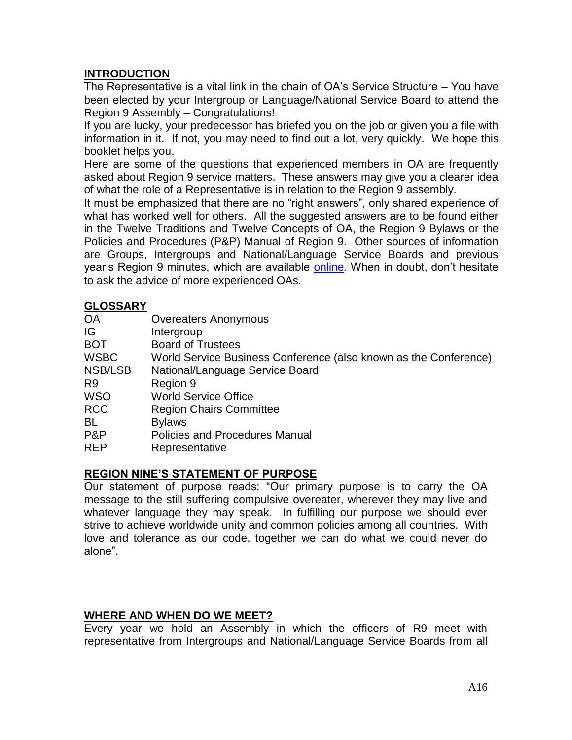# **INTRODUCTION**

The Representative is a vital link in the chain of OA's Service Structure – You have been elected by your Intergroup or Language/National Service Board to attend the Region 9 Assembly – Congratulations!

If you are lucky, your predecessor has briefed you on the job or given you a file with information in it. If not, you may need to find out a lot, very quickly. We hope this booklet helps you.

Here are some of the questions that experienced members in OA are frequently asked about Region 9 service matters. These answers may give you a clearer idea of what the role of a Representative is in relation to the Region 9 assembly.

It must be emphasized that there are no "right answers", only shared experience of what has worked well for others. All the suggested answers are to be found either in the Twelve Traditions and Twelve Concepts of OA, the Region 9 Bylaws or the Policies and Procedures (P&P) Manual of Region 9. Other sources of information are Groups, Intergroups and National/Language Service Boards and previous year's Region 9 minutes, which are available [online.](http://www.oaregion9.org/region-9-membersgroups/region-9-assembly/) When in doubt, don't hesitate to ask the advice of more experienced OAs.

## **GLOSSARY**

| <b>OA</b>      | <b>Overeaters Anonymous</b>                                      |
|----------------|------------------------------------------------------------------|
| IG             | Intergroup                                                       |
| <b>BOT</b>     | <b>Board of Trustees</b>                                         |
| <b>WSBC</b>    | World Service Business Conference (also known as the Conference) |
| NSB/LSB        | National/Language Service Board                                  |
| R <sub>9</sub> | Region 9                                                         |
| <b>WSO</b>     | <b>World Service Office</b>                                      |
| <b>RCC</b>     | <b>Region Chairs Committee</b>                                   |
| BL             | <b>Bylaws</b>                                                    |
| P&P            | <b>Policies and Procedures Manual</b>                            |
| <b>REP</b>     | Representative                                                   |
|                |                                                                  |

## **REGION NINE'S STATEMENT OF PURPOSE**

Our statement of purpose reads: "Our primary purpose is to carry the OA message to the still suffering compulsive overeater, wherever they may live and whatever language they may speak. In fulfilling our purpose we should ever strive to achieve worldwide unity and common policies among all countries. With love and tolerance as our code, together we can do what we could never do alone".

## **WHERE AND WHEN DO WE MEET?**

Every year we hold an Assembly in which the officers of R9 meet with representative from Intergroups and National/Language Service Boards from all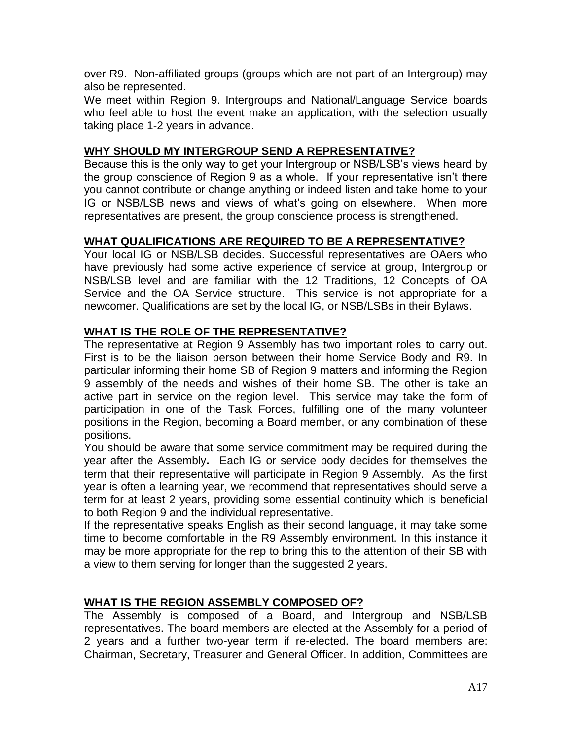over R9. Non-affiliated groups (groups which are not part of an Intergroup) may also be represented.

We meet within Region 9. Intergroups and National/Language Service boards who feel able to host the event make an application, with the selection usually taking place 1-2 years in advance.

# **WHY SHOULD MY INTERGROUP SEND A REPRESENTATIVE?**

Because this is the only way to get your Intergroup or NSB/LSB's views heard by the group conscience of Region 9 as a whole. If your representative isn't there you cannot contribute or change anything or indeed listen and take home to your IG or NSB/LSB news and views of what's going on elsewhere. When more representatives are present, the group conscience process is strengthened.

# **WHAT QUALIFICATIONS ARE REQUIRED TO BE A REPRESENTATIVE?**

Your local IG or NSB/LSB decides. Successful representatives are OAers who have previously had some active experience of service at group, Intergroup or NSB/LSB level and are familiar with the 12 Traditions, 12 Concepts of OA Service and the OA Service structure. This service is not appropriate for a newcomer. Qualifications are set by the local IG, or NSB/LSBs in their Bylaws.

# **WHAT IS THE ROLE OF THE REPRESENTATIVE?**

The representative at Region 9 Assembly has two important roles to carry out. First is to be the liaison person between their home Service Body and R9. In particular informing their home SB of Region 9 matters and informing the Region 9 assembly of the needs and wishes of their home SB. The other is take an active part in service on the region level. This service may take the form of participation in one of the Task Forces, fulfilling one of the many volunteer positions in the Region, becoming a Board member, or any combination of these positions.

You should be aware that some service commitment may be required during the year after the Assembly**.** Each IG or service body decides for themselves the term that their representative will participate in Region 9 Assembly. As the first year is often a learning year, we recommend that representatives should serve a term for at least 2 years, providing some essential continuity which is beneficial to both Region 9 and the individual representative.

If the representative speaks English as their second language, it may take some time to become comfortable in the R9 Assembly environment. In this instance it may be more appropriate for the rep to bring this to the attention of their SB with a view to them serving for longer than the suggested 2 years.

# **WHAT IS THE REGION ASSEMBLY COMPOSED OF?**

The Assembly is composed of a Board, and Intergroup and NSB/LSB representatives. The board members are elected at the Assembly for a period of 2 years and a further two-year term if re-elected. The board members are: Chairman, Secretary, Treasurer and General Officer. In addition, Committees are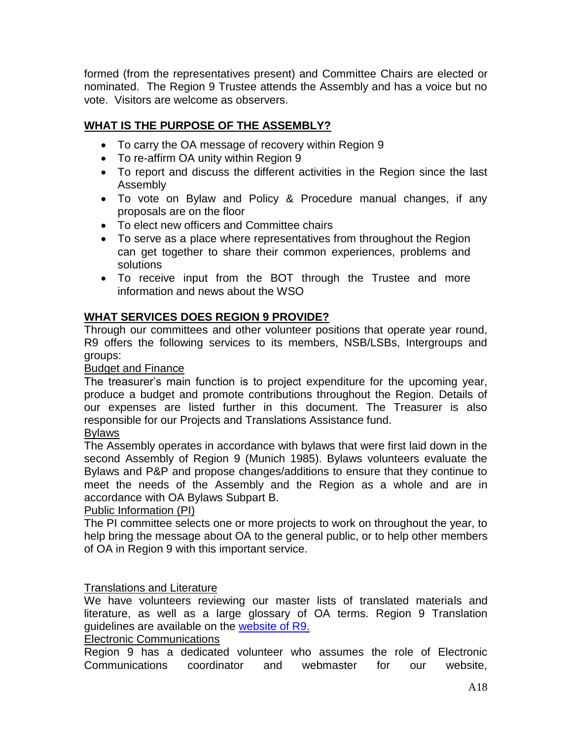formed (from the representatives present) and Committee Chairs are elected or nominated. The Region 9 Trustee attends the Assembly and has a voice but no vote. Visitors are welcome as observers.

# **WHAT IS THE PURPOSE OF THE ASSEMBLY?**

- To carry the OA message of recovery within Region 9
- To re-affirm OA unity within Region 9
- To report and discuss the different activities in the Region since the last Assembly
- To vote on Bylaw and Policy & Procedure manual changes, if any proposals are on the floor
- To elect new officers and Committee chairs
- To serve as a place where representatives from throughout the Region can get together to share their common experiences, problems and solutions
- To receive input from the BOT through the Trustee and more information and news about the WSO

# **WHAT SERVICES DOES REGION 9 PROVIDE?**

Through our committees and other volunteer positions that operate year round, R9 offers the following services to its members, NSB/LSBs, Intergroups and groups:

Budget and Finance

The treasurer's main function is to project expenditure for the upcoming year, produce a budget and promote contributions throughout the Region. Details of our expenses are listed further in this document. The Treasurer is also responsible for our Projects and Translations Assistance fund.

## Bylaws

The Assembly operates in accordance with bylaws that were first laid down in the second Assembly of Region 9 (Munich 1985). Bylaws volunteers evaluate the Bylaws and P&P and propose changes/additions to ensure that they continue to meet the needs of the Assembly and the Region as a whole and are in accordance with OA Bylaws Subpart B.

# Public Information (PI)

The PI committee selects one or more projects to work on throughout the year, to help bring the message about OA to the general public, or to help other members of OA in Region 9 with this important service.

# Translations and Literature

We have volunteers reviewing our master lists of translated materials and literature, as well as a large glossary of OA terms. Region 9 Translation guidelines are available on the [website of R9.](http://www.oaregion9.org/service/translation-of-oa-literature/)

# Electronic Communications

Region 9 has a dedicated volunteer who assumes the role of Electronic Communications coordinator and webmaster for our website,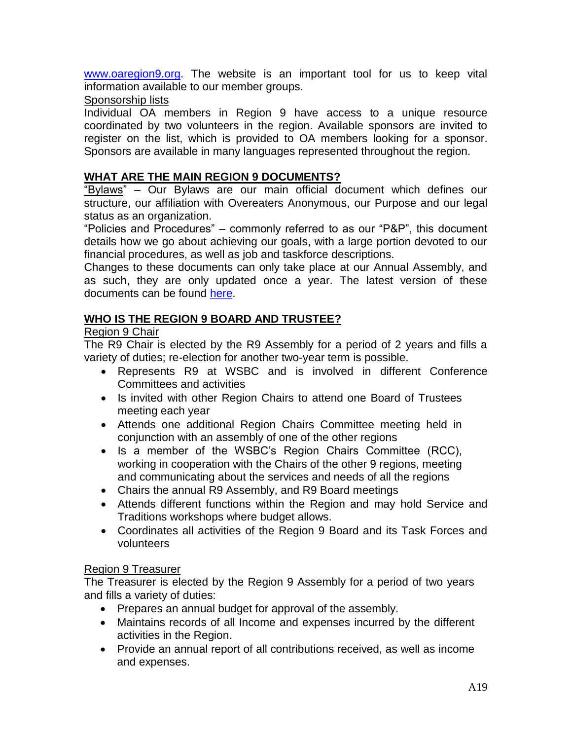[www.oaregion9.org.](http://www.oaregion9.org/) The website is an important tool for us to keep vital information available to our member groups.

## Sponsorship lists

Individual OA members in Region 9 have access to a unique resource coordinated by two volunteers in the region. Available sponsors are invited to register on the list, which is provided to OA members looking for a sponsor. Sponsors are available in many languages represented throughout the region.

# **WHAT ARE THE MAIN REGION 9 DOCUMENTS?**

"Bylaws" – Our Bylaws are our main official document which defines our structure, our affiliation with Overeaters Anonymous, our Purpose and our legal status as an organization.

"Policies and Procedures" – commonly referred to as our "P&P", this document details how we go about achieving our goals, with a large portion devoted to our financial procedures, as well as job and taskforce descriptions.

Changes to these documents can only take place at our Annual Assembly, and as such, they are only updated once a year. The latest version of these documents can be found [here.](http://www.oaregion9.org/service/bylaws-committee/)

# **WHO IS THE REGION 9 BOARD AND TRUSTEE?**

## Region 9 Chair

The R9 Chair is elected by the R9 Assembly for a period of 2 years and fills a variety of duties; re-election for another two-year term is possible.

- Represents R9 at WSBC and is involved in different Conference Committees and activities
- Is invited with other Region Chairs to attend one Board of Trustees meeting each year
- Attends one additional Region Chairs Committee meeting held in conjunction with an assembly of one of the other regions
- Is a member of the WSBC's Region Chairs Committee (RCC), working in cooperation with the Chairs of the other 9 regions, meeting and communicating about the services and needs of all the regions
- Chairs the annual R9 Assembly, and R9 Board meetings
- Attends different functions within the Region and may hold Service and Traditions workshops where budget allows.
- Coordinates all activities of the Region 9 Board and its Task Forces and volunteers

# Region 9 Treasurer

The Treasurer is elected by the Region 9 Assembly for a period of two years and fills a variety of duties:

- Prepares an annual budget for approval of the assembly.
- Maintains records of all Income and expenses incurred by the different activities in the Region.
- Provide an annual report of all contributions received, as well as income and expenses.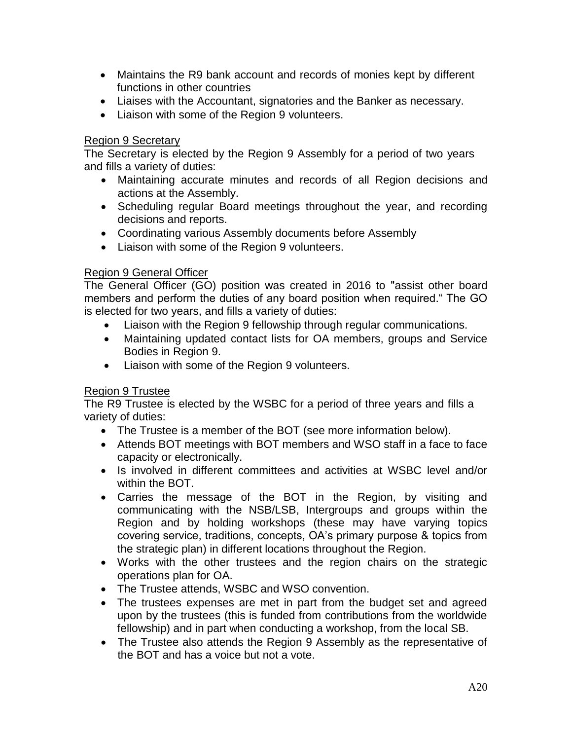- Maintains the R9 bank account and records of monies kept by different functions in other countries
- Liaises with the Accountant, signatories and the Banker as necessary.
- Liaison with some of the Region 9 volunteers.

#### Region 9 Secretary

The Secretary is elected by the Region 9 Assembly for a period of two years and fills a variety of duties:

- Maintaining accurate minutes and records of all Region decisions and actions at the Assembly.
- Scheduling regular Board meetings throughout the year, and recording decisions and reports.
- Coordinating various Assembly documents before Assembly
- Liaison with some of the Region 9 volunteers.

## Region 9 General Officer

The General Officer (GO) position was created in 2016 to "assist other board members and perform the duties of any board position when required." The GO is elected for two years, and fills a variety of duties:

- Liaison with the Region 9 fellowship through regular communications.
- Maintaining updated contact lists for OA members, groups and Service Bodies in Region 9.
- Liaison with some of the Region 9 volunteers.

## Region 9 Trustee

The R9 Trustee is elected by the WSBC for a period of three years and fills a variety of duties:

- The Trustee is a member of the BOT (see more information below).
- Attends BOT meetings with BOT members and WSO staff in a face to face capacity or electronically.
- Is involved in different committees and activities at WSBC level and/or within the BOT.
- Carries the message of the BOT in the Region, by visiting and communicating with the NSB/LSB, Intergroups and groups within the Region and by holding workshops (these may have varying topics covering service, traditions, concepts, OA's primary purpose & topics from the strategic plan) in different locations throughout the Region.
- Works with the other trustees and the region chairs on the strategic operations plan for OA.
- The Trustee attends, WSBC and WSO convention.
- The trustees expenses are met in part from the budget set and agreed upon by the trustees (this is funded from contributions from the worldwide fellowship) and in part when conducting a workshop, from the local SB.
- The Trustee also attends the Region 9 Assembly as the representative of the BOT and has a voice but not a vote.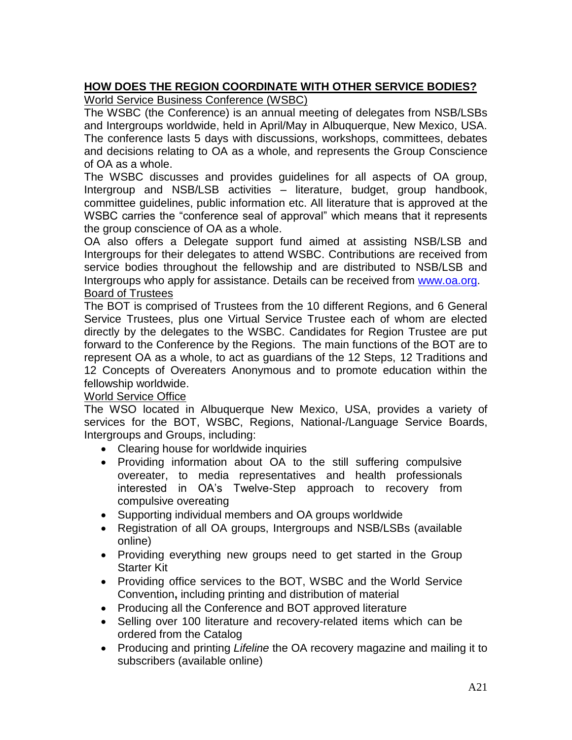# **HOW DOES THE REGION COORDINATE WITH OTHER SERVICE BODIES?**

World Service Business Conference (WSBC)

The WSBC (the Conference) is an annual meeting of delegates from NSB/LSBs and Intergroups worldwide, held in April/May in Albuquerque, New Mexico, USA. The conference lasts 5 days with discussions, workshops, committees, debates and decisions relating to OA as a whole, and represents the Group Conscience of OA as a whole.

The WSBC discusses and provides guidelines for all aspects of OA group, Intergroup and NSB/LSB activities – literature, budget, group handbook, committee guidelines, public information etc. All literature that is approved at the WSBC carries the "conference seal of approval" which means that it represents the group conscience of OA as a whole.

OA also offers a Delegate support fund aimed at assisting NSB/LSB and Intergroups for their delegates to attend WSBC. Contributions are received from service bodies throughout the fellowship and are distributed to NSB/LSB and Intergroups who apply for assistance. Details can be received from [www.oa.org.](http://www.oa.org/) Board of Trustees

The BOT is comprised of Trustees from the 10 different Regions, and 6 General Service Trustees, plus one Virtual Service Trustee each of whom are elected directly by the delegates to the WSBC. Candidates for Region Trustee are put forward to the Conference by the Regions. The main functions of the BOT are to represent OA as a whole, to act as guardians of the 12 Steps, 12 Traditions and 12 Concepts of Overeaters Anonymous and to promote education within the fellowship worldwide.

# World Service Office

The WSO located in Albuquerque New Mexico, USA, provides a variety of services for the BOT, WSBC, Regions, National-/Language Service Boards, Intergroups and Groups, including:

- Clearing house for worldwide inquiries
- Providing information about OA to the still suffering compulsive overeater, to media representatives and health professionals interested in OA's Twelve-Step approach to recovery from compulsive overeating
- Supporting individual members and OA groups worldwide
- Registration of all OA groups, Intergroups and NSB/LSBs (available online)
- Providing everything new groups need to get started in the Group Starter Kit
- Providing office services to the BOT, WSBC and the World Service Convention**,** including printing and distribution of material
- Producing all the Conference and BOT approved literature
- Selling over 100 literature and recovery-related items which can be ordered from the Catalog
- Producing and printing *Lifeline* the OA recovery magazine and mailing it to subscribers (available online)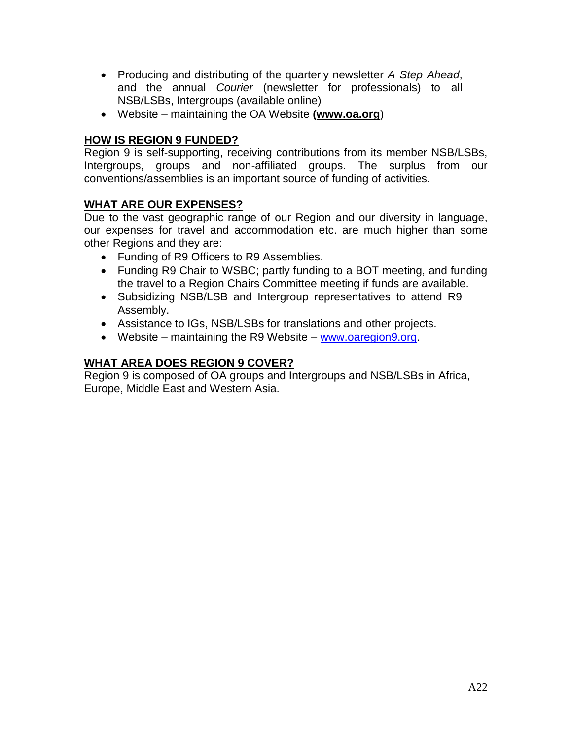- Producing and distributing of the quarterly newsletter *A Step Ahead*, and the annual *Courier* (newsletter for professionals) to all NSB/LSBs, Intergroups (available online)
- Website maintaining the OA Website **[\(www.oa.org](http://www.oa.org/)**)

# **HOW IS REGION 9 FUNDED?**

Region 9 is self-supporting, receiving contributions from its member NSB/LSBs, Intergroups, groups and non-affiliated groups. The surplus from our conventions/assemblies is an important source of funding of activities.

# **WHAT ARE OUR EXPENSES?**

Due to the vast geographic range of our Region and our diversity in language, our expenses for travel and accommodation etc. are much higher than some other Regions and they are:

- Funding of R9 Officers to R9 Assemblies.
- Funding R9 Chair to WSBC; partly funding to a BOT meeting, and funding the travel to a Region Chairs Committee meeting if funds are available.
- Subsidizing NSB/LSB and Intergroup representatives to attend R9 Assembly.
- Assistance to IGs, NSB/LSBs for translations and other projects.
- Website maintaining the R9 Website [www.oaregion9.org.](http://www.oaregion9.org/)

# **WHAT AREA DOES REGION 9 COVER?**

Region 9 is composed of OA groups and Intergroups and NSB/LSBs in Africa, Europe, Middle East and Western Asia.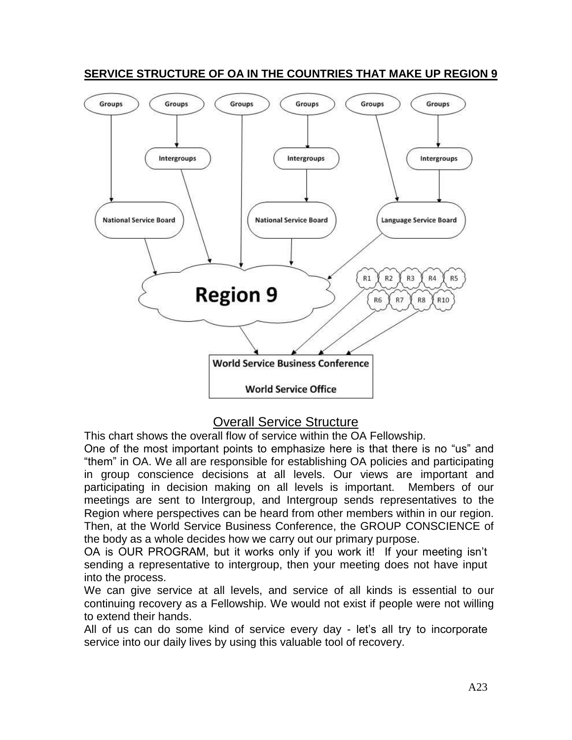

# **SERVICE STRUCTURE OF OA IN THE COUNTRIES THAT MAKE UP REGION 9**

# Overall Service Structure

This chart shows the overall flow of service within the OA Fellowship.

One of the most important points to emphasize here is that there is no "us" and "them" in OA. We all are responsible for establishing OA policies and participating in group conscience decisions at all levels. Our views are important and participating in decision making on all levels is important. Members of our meetings are sent to Intergroup, and Intergroup sends representatives to the Region where perspectives can be heard from other members within in our region. Then, at the World Service Business Conference, the GROUP CONSCIENCE of the body as a whole decides how we carry out our primary purpose.

OA is OUR PROGRAM, but it works only if you work it! If your meeting isn't sending a representative to intergroup, then your meeting does not have input into the process.

We can give service at all levels, and service of all kinds is essential to our continuing recovery as a Fellowship. We would not exist if people were not willing to extend their hands.

All of us can do some kind of service every day - let's all try to incorporate service into our daily lives by using this valuable tool of recovery.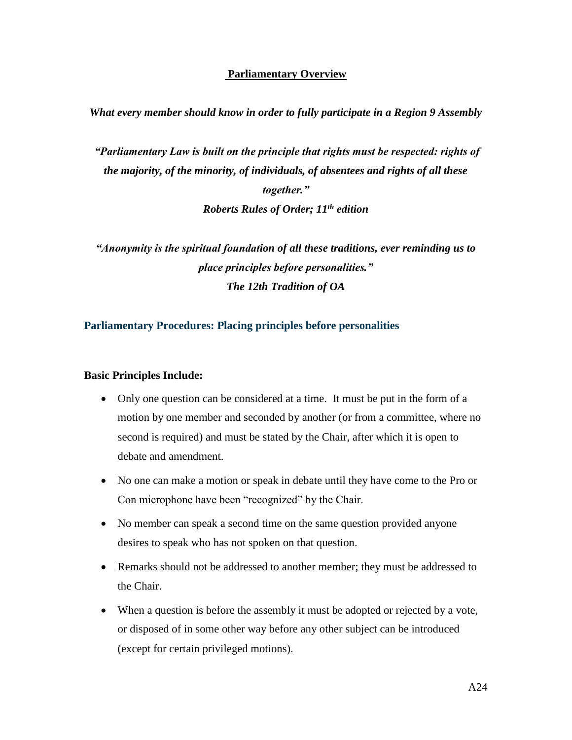#### **Parliamentary Overview**

#### *What every member should know in order to fully participate in a Region 9 Assembly*

*"Parliamentary Law is built on the principle that rights must be respected: rights of the majority, of the minority, of individuals, of absentees and rights of all these together." Roberts Rules of Order; 11th edition*

*"Anonymity is the spiritual foundation of all these traditions, ever reminding us to place principles before personalities." The 12th Tradition of OA*

#### **Parliamentary Procedures: Placing principles before personalities**

#### **Basic Principles Include:**

- Only one question can be considered at a time. It must be put in the form of a motion by one member and seconded by another (or from a committee, where no second is required) and must be stated by the Chair, after which it is open to debate and amendment.
- No one can make a motion or speak in debate until they have come to the Pro or Con microphone have been "recognized" by the Chair.
- No member can speak a second time on the same question provided anyone desires to speak who has not spoken on that question.
- Remarks should not be addressed to another member; they must be addressed to the Chair.
- When a question is before the assembly it must be adopted or rejected by a vote, or disposed of in some other way before any other subject can be introduced (except for certain privileged motions).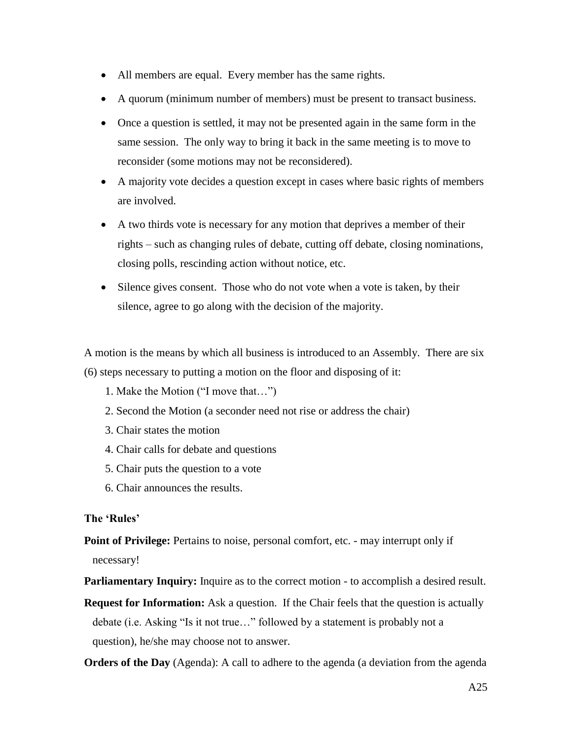- All members are equal. Every member has the same rights.
- A quorum (minimum number of members) must be present to transact business.
- Once a question is settled, it may not be presented again in the same form in the same session. The only way to bring it back in the same meeting is to move to reconsider (some motions may not be reconsidered).
- A majority vote decides a question except in cases where basic rights of members are involved.
- A two thirds vote is necessary for any motion that deprives a member of their rights – such as changing rules of debate, cutting off debate, closing nominations, closing polls, rescinding action without notice, etc.
- Silence gives consent. Those who do not vote when a vote is taken, by their silence, agree to go along with the decision of the majority.

A motion is the means by which all business is introduced to an Assembly. There are six (6) steps necessary to putting a motion on the floor and disposing of it:

- 1. Make the Motion ("I move that…")
- 2. Second the Motion (a seconder need not rise or address the chair)
- 3. Chair states the motion
- 4. Chair calls for debate and questions
- 5. Chair puts the question to a vote
- 6. Chair announces the results.

#### **The 'Rules'**

**Point of Privilege:** Pertains to noise, personal comfort, etc. - may interrupt only if necessary!

**Parliamentary Inquiry:** Inquire as to the correct motion - to accomplish a desired result.

**Request for Information:** Ask a question. If the Chair feels that the question is actually debate (i.e. Asking "Is it not true…" followed by a statement is probably not a question), he/she may choose not to answer.

**Orders of the Day** (Agenda): A call to adhere to the agenda (a deviation from the agenda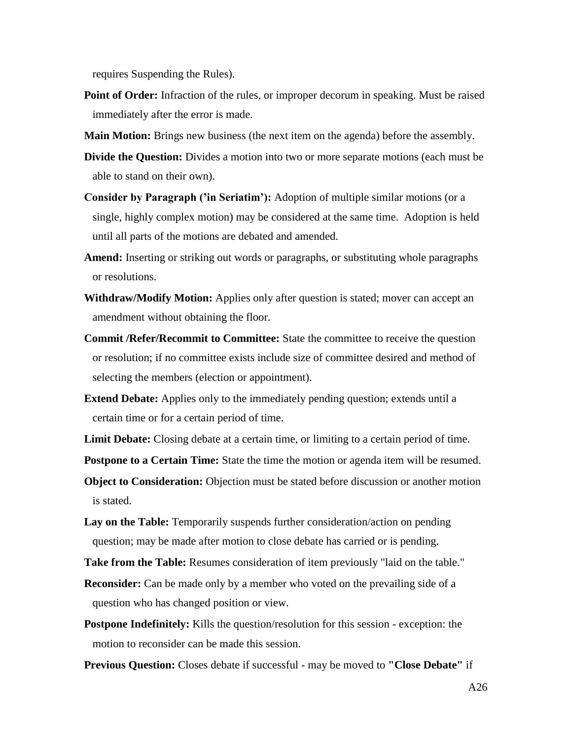requires Suspending the Rules).

- **Point of Order:** Infraction of the rules, or improper decorum in speaking. Must be raised immediately after the error is made.
- **Main Motion:** Brings new business (the next item on the agenda) before the assembly.
- **Divide the Question:** Divides a motion into two or more separate motions (each must be able to stand on their own).
- **Consider by Paragraph ('in Seriatim'):** Adoption of multiple similar motions (or a single, highly complex motion) may be considered at the same time. Adoption is held until all parts of the motions are debated and amended.
- **Amend:** Inserting or striking out words or paragraphs, or substituting whole paragraphs or resolutions.
- **Withdraw/Modify Motion:** Applies only after question is stated; mover can accept an amendment without obtaining the floor.
- **Commit /Refer/Recommit to Committee:** State the committee to receive the question or resolution; if no committee exists include size of committee desired and method of selecting the members (election or appointment).
- **Extend Debate:** Applies only to the immediately pending question; extends until a certain time or for a certain period of time.
- **Limit Debate:** Closing debate at a certain time, or limiting to a certain period of time.

**Postpone to a Certain Time:** State the time the motion or agenda item will be resumed.

**Object to Consideration:** Objection must be stated before discussion or another motion is stated.

- **Lay on the Table:** Temporarily suspends further consideration/action on pending question; may be made after motion to close debate has carried or is pending.
- **Take from the Table:** Resumes consideration of item previously "laid on the table."
- **Reconsider:** Can be made only by a member who voted on the prevailing side of a question who has changed position or view.
- **Postpone Indefinitely:** Kills the question/resolution for this session exception: the motion to reconsider can be made this session.
- **Previous Question:** Closes debate if successful may be moved to **"Close Debate"** if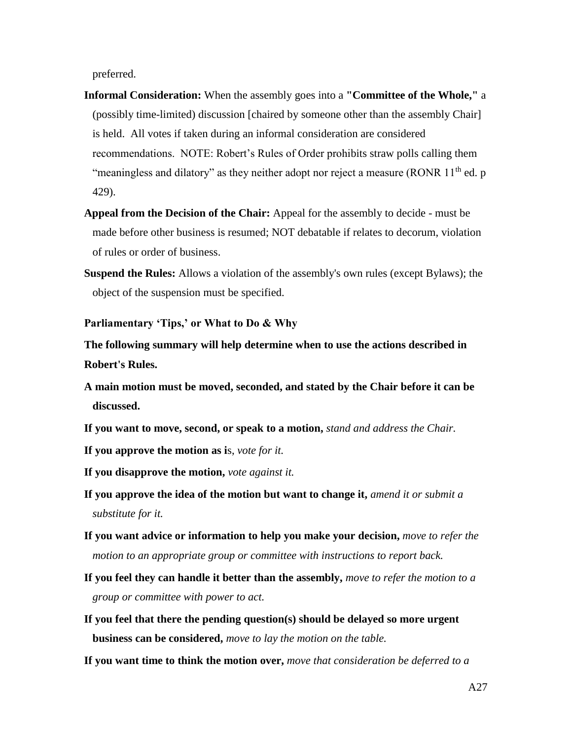preferred.

- **Informal Consideration:** When the assembly goes into a **"Committee of the Whole,"** a (possibly time-limited) discussion [chaired by someone other than the assembly Chair] is held. All votes if taken during an informal consideration are considered recommendations. NOTE: Robert's Rules of Order prohibits straw polls calling them "meaningless and dilatory" as they neither adopt nor reject a measure (RONR 11<sup>th</sup> ed. p 429).
- **Appeal from the Decision of the Chair:** Appeal for the assembly to decide must be made before other business is resumed; NOT debatable if relates to decorum, violation of rules or order of business.
- **Suspend the Rules:** Allows a violation of the assembly's own rules (except Bylaws); the object of the suspension must be specified.

**Parliamentary 'Tips,' or What to Do & Why**

**The following summary will help determine when to use the actions described in Robert's Rules.**

- **A main motion must be moved, seconded, and stated by the Chair before it can be discussed.**
- **If you want to move, second, or speak to a motion,** *stand and address the Chair.*
- **If you approve the motion as i**s, *vote for it.*
- **If you disapprove the motion,** *vote against it.*
- **If you approve the idea of the motion but want to change it,** *amend it or submit a substitute for it.*
- **If you want advice or information to help you make your decision,** *move to refer the motion to an appropriate group or committee with instructions to report back.*
- **If you feel they can handle it better than the assembly,** *move to refer the motion to a group or committee with power to act.*
- **If you feel that there the pending question(s) should be delayed so more urgent business can be considered,** *move to lay the motion on the table.*
- **If you want time to think the motion over,** *move that consideration be deferred to a*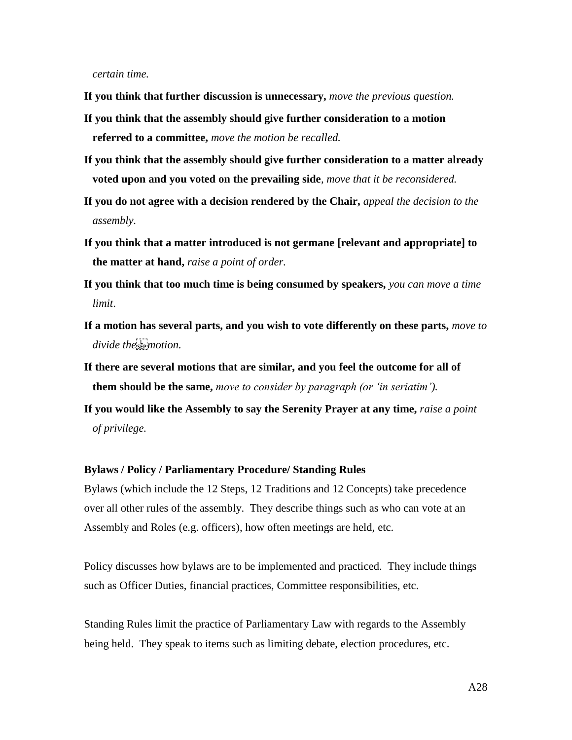*certain time.*

- **If you think that further discussion is unnecessary,** *move the previous question.*
- **If you think that the assembly should give further consideration to a motion referred to a committee,** *move the motion be recalled.*
- **If you think that the assembly should give further consideration to a matter already voted upon and you voted on the prevailing side***, move that it be reconsidered.*
- **If you do not agree with a decision rendered by the Chair,** *appeal the decision to the assembly.*
- **If you think that a matter introduced is not germane [relevant and appropriate] to the matter at hand,** *raise a point of order.*
- **If you think that too much time is being consumed by speakers,** *you can move a time limit*.
- **If a motion has several parts, and you wish to vote differently on these parts,** *move to*  divide the sermotion.
- **If there are several motions that are similar, and you feel the outcome for all of them should be the same,** *move to consider by paragraph (or 'in seriatim').*
- **If you would like the Assembly to say the Serenity Prayer at any time,** *raise a point of privilege.*

#### **Bylaws / Policy / Parliamentary Procedure/ Standing Rules**

Bylaws (which include the 12 Steps, 12 Traditions and 12 Concepts) take precedence over all other rules of the assembly. They describe things such as who can vote at an Assembly and Roles (e.g. officers), how often meetings are held, etc.

Policy discusses how bylaws are to be implemented and practiced. They include things such as Officer Duties, financial practices, Committee responsibilities, etc.

Standing Rules limit the practice of Parliamentary Law with regards to the Assembly being held. They speak to items such as limiting debate, election procedures, etc.